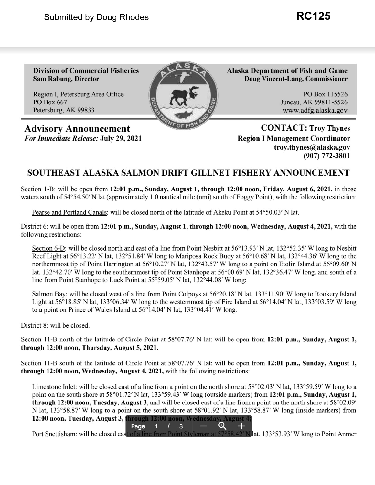Region I, Petersburg Area Office PO Box 115526 PO Box 667 **Juneau, AK 99811-5526** Petersburg, AK 99833 <www.adfg.alaska.gov>

Advisory Announcement **CONTACT:** Troy Thynes *For Immediate Release: July 29, 2021* Region I Management Coordinator

**Division of Commercial Fisheries Alaska Department of Fish and Game Sam Rabung, Director Doug Vincent-Lang, Commissioner** 

**[troy.thynes@alaska.gov](mailto:troy.thynes@alaska.gov) (907) 772-3801** 

## **SOUTHEAST ALASKA SALMON DRIFT GILLNET FISHERY ANNOUNCEMENT**

Section 1-B: will be open from **12:01 p.m., Sunday, August 1, through 12:00 noon, Friday, August 6, 2021,** in those waters south of  $54^{\circ}54.50'$  N lat (approximately 1.0 nautical mile (nmi) south of Foggy Point), with the following restriction:

Pearse and Portland Canals: will be closed north of the latitude of Akeku Point at [54°50.03](https://54�50.03)' N lat.

District 6: will be open from **12:01 p.m., Sunday, August 1, through 12:00 noon, Wednesday, August 4, 2021,** with the following restrictions:

Section 6-D: will be closed north and east of a line from Point Nesbitt at  $56^{\circ}13.93'$  N lat,  $132^{\circ}52.35'$  W long to Nesbitt Reef Light at [56°13.22](https://56�13.22)' N lat, [132°51.84](https://132�51.84)' W long to Mariposa Rock Buoy at [56°10.68](https://56�10.68)' N lat, [132°44.36](https://132�44.36)' W long to the northernmost tip of Point Harrington at [56°10.27](https://56�10.27)' N lat, [132°43.57](https://132�43.57)' W long to a point on Etolin Island at [56°09.60](https://56�09.60)' N lat,  $132^{\circ}42.70'$  W long to the southernmost tip of Point Stanhope at  $56^{\circ}00.69'$  N lat,  $132^{\circ}36.47'$  W long, and south of a line from Point Stanhope to Luck Point at  $55^{\circ}59.05'$  N lat,  $132^{\circ}44.08'$  W long;

Salmon Bay: will be closed west of a line from Point Colpoys at  $56^{\circ}20.18'$  N lat,  $133^{\circ}11.90'$  W long to Rookery Island Light at  $56^{\circ}18.85'$  N lat,  $133^{\circ}06.34'$  W long to the westernmost tip of Fire Island at  $56^{\circ}14.04'$  N lat,  $133^{\circ}03.59'$  W long to a point on Prince of Wales Island at 56° 14.04' N lat, [133°04.41](https://133�04.41)' W long.

District 8: will be closed.

ection 11-B north of the latitude of Circle Point at 58°07.76' N lat: will be open from 12:01 p.m., Sunday, August 1, **through 12:00 noon, Thursday, August 5, 2021.** 

Section 11-B south of the latitude of Circle Point at [58°07.76](https://58�07.76)' N lat: will be open from 12:01 p.m., Sunday, August 1, **through 12:00 noon, Wednesday, August 4, 2021,** with the following restrictions:

Limestone Inlet: will be closed east of a line from a point on the north shore at  $58^{\circ}02.03'$  N lat,  $133^{\circ}59.59'$  W long to a point on the south shore at [58°01.72](https://58�01.72)' N lat, [133°59.43](https://133�59.43)' W long (outside markers) from 12:01 p.m., Sunday, August 1, **through 12:00 noon, Tuesday, August 3,** and will be closed east of a line from a point on the north shore at [58°02.09](https://58�02.09)' N lat, [133°58.87](https://133�58.87)' W long to a point on the south shore at [58°01.92](https://58�01.92)' N lat, 133°58.87' W long (inside markers) from **12:00 noon, Tuesday, August 3, through 12:00 noon, Wednesday, August 4<br>
Page 1 / 3 – Q +** 

Port Snettisham: will be closed east of a line from Point Styleman at 57°58.42' N lat, [133°53.93](https://133�53.93)' W long to Point Anmer